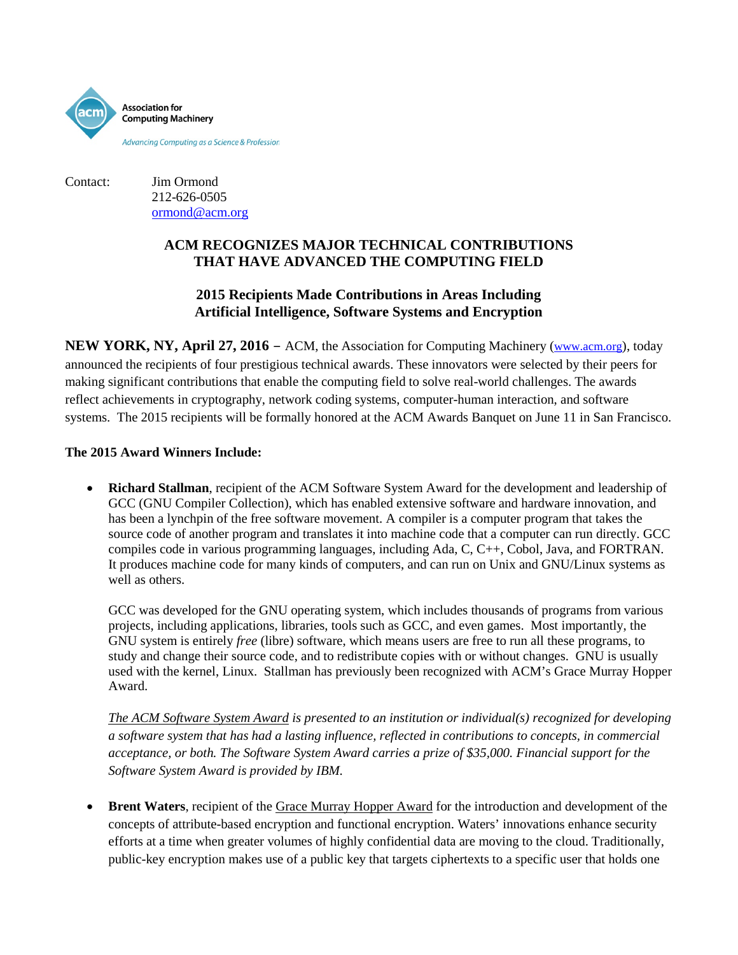

Contact: Jim Ormond 212-626-0505 ormond@acm.org

## **ACM RECOGNIZES MAJOR TECHNICAL CONTRIBUTIONS THAT HAVE ADVANCED THE COMPUTING FIELD**

## **2015 Recipients Made Contributions in Areas Including Artificial Intelligence, Software Systems and Encryption**

**NEW YORK, NY, April 27, 2016** – ACM, the Association for Computing Machinery [\(www.acm.org\)](http://www.acm.org/), today announced the recipients of four prestigious technical awards. These innovators were selected by their peers for making significant contributions that enable the computing field to solve real-world challenges. The awards reflect achievements in cryptography, network coding systems, computer-human interaction, and software systems. The 2015 recipients will be formally honored at the ACM Awards Banquet on June 11 in San Francisco.

## **The 2015 Award Winners Include:**

• **Richard Stallman**, recipient of the ACM Software System Award for the development and leadership of GCC (GNU Compiler Collection), which has enabled extensive software and hardware innovation, and has been a lynchpin of the free software movement. A compiler is a computer program that takes the source code of another program and translates it into machine code that a computer can run directly. GCC compiles code in various programming languages, including Ada, C, C++, Cobol, Java, and FORTRAN. It produces machine code for many kinds of computers, and can run on Unix and GNU/Linux systems as well as others.

GCC was developed for the GNU operating system, which includes thousands of programs from various projects, including applications, libraries, tools such as GCC, and even games. Most importantly, the GNU system is entirely *free* (libre) software, which means users are free to run all these programs, to study and change their source code, and to redistribute copies with or without changes. GNU is usually used with the kernel, Linux. Stallman has previously been recognized with ACM's Grace Murray Hopper Award.

*The ACM Software System Award is presented to an institution or individual(s) recognized for developing a software system that has had a lasting influence, reflected in contributions to concepts, in commercial acceptance, or both. The Software System Award carries a prize of \$35,000. Financial support for the Software System Award is provided by IBM.*

**Brent Waters**, recipient of th[e Grace Murray Hopper Award](http://awards.acm.org/hopper/) for the introduction and development of the concepts of attribute-based encryption and functional encryption. Waters' innovations enhance security efforts at a time when greater volumes of highly confidential data are moving to the cloud. Traditionally, public-key encryption makes use of a public key that targets ciphertexts to a specific user that holds one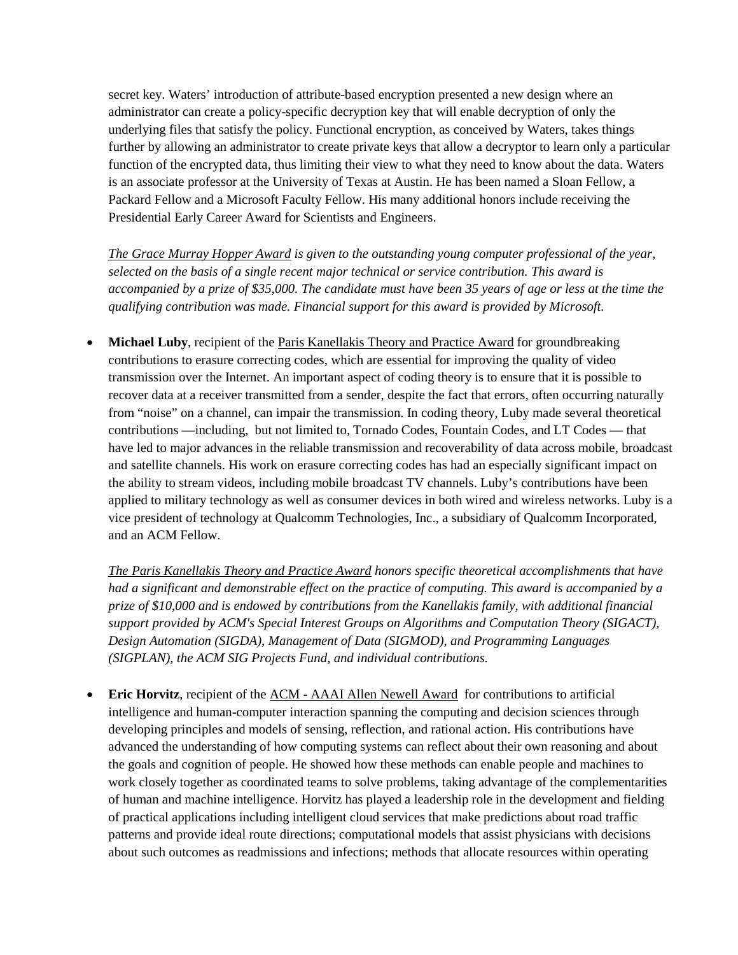secret key. Waters' introduction of attribute-based encryption presented a new design where an administrator can create a policy-specific decryption key that will enable decryption of only the underlying files that satisfy the policy. Functional encryption, as conceived by Waters, takes things further by allowing an administrator to create private keys that allow a decryptor to learn only a particular function of the encrypted data, thus limiting their view to what they need to know about the data. Waters is an associate professor at the University of Texas at Austin. He has been named a Sloan Fellow, a Packard Fellow and a Microsoft Faculty Fellow. His many additional honors include receiving the Presidential Early Career Award for Scientists and Engineers.

*The Grace Murray Hopper Award is given to the outstanding young computer professional of the year, selected on the basis of a single recent major technical or service contribution. This award is accompanied by a prize of \$35,000. The candidate must have been 35 years of age or less at the time the qualifying contribution was made. Financial support for this award is provided by Microsoft.* 

• **Michael Luby**, recipient of the [Paris Kanellakis Theory and Practice Award](http://awards.acm.org/kanellakis/) for groundbreaking contributions to erasure correcting codes, which are essential for improving the quality of video transmission over the Internet. An important aspect of coding theory is to ensure that it is possible to recover data at a receiver transmitted from a sender, despite the fact that errors, often occurring naturally from "noise" on a channel, can impair the transmission. In coding theory, Luby made several theoretical contributions —including, but not limited to, Tornado Codes, Fountain Codes, and LT Codes — that have led to major advances in the reliable transmission and recoverability of data across mobile, broadcast and satellite channels. His work on erasure correcting codes has had an especially significant impact on the ability to stream videos, including mobile broadcast TV channels. Luby's contributions have been applied to military technology as well as consumer devices in both wired and wireless networks. Luby is a vice president of technology at Qualcomm Technologies, Inc., a subsidiary of Qualcomm Incorporated, and an ACM Fellow.

*The Paris Kanellakis Theory and Practice Award honors specific theoretical accomplishments that have had a significant and demonstrable effect on the practice of computing. This award is accompanied by a prize of \$10,000 and is endowed by contributions from the Kanellakis family, with additional financial support provided by ACM's Special Interest Groups on Algorithms and Computation Theory (SIGACT), Design Automation (SIGDA), Management of Data (SIGMOD), and Programming Languages (SIGPLAN), the ACM SIG Projects Fund, and individual contributions.*

• **Eric Horvitz**, recipient of the ACM - [AAAI Allen Newell Award](http://awards.acm.org/newell/) for contributions to artificial intelligence and human-computer interaction spanning the computing and decision sciences through developing principles and models of sensing, reflection, and rational action. His contributions have advanced the understanding of how computing systems can reflect about their own reasoning and about the goals and cognition of people. He showed how these methods can enable people and machines to work closely together as coordinated teams to solve problems, taking advantage of the complementarities of human and machine intelligence. Horvitz has played a leadership role in the development and fielding of practical applications including intelligent cloud services that make predictions about road traffic patterns and provide ideal route directions; computational models that assist physicians with decisions about such outcomes as readmissions and infections; methods that allocate resources within operating